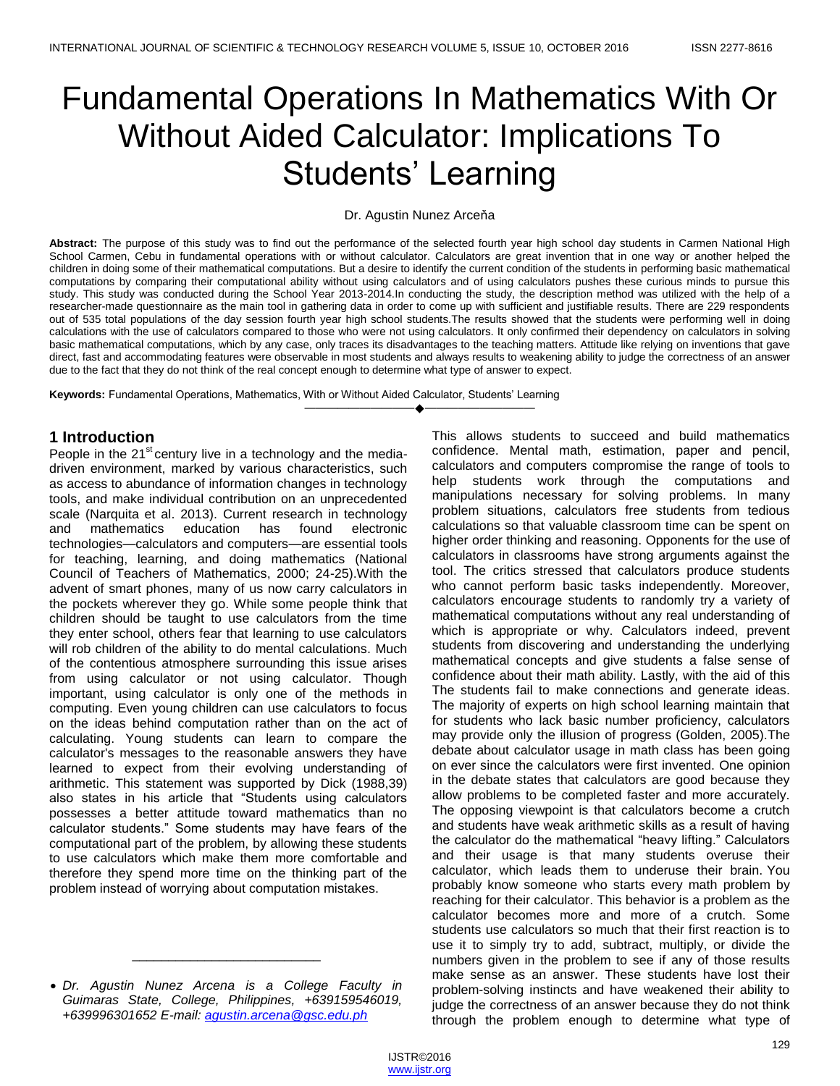# Fundamental Operations In Mathematics With Or Without Aided Calculator: Implications To Students' Learning

## Dr. Agustin Nunez Arceňa

**Abstract:** The purpose of this study was to find out the performance of the selected fourth year high school day students in Carmen National High School Carmen, Cebu in fundamental operations with or without calculator. Calculators are great invention that in one way or another helped the children in doing some of their mathematical computations. But a desire to identify the current condition of the students in performing basic mathematical computations by comparing their computational ability without using calculators and of using calculators pushes these curious minds to pursue this study. This study was conducted during the School Year 2013-2014.In conducting the study, the description method was utilized with the help of a researcher-made questionnaire as the main tool in gathering data in order to come up with sufficient and justifiable results. There are 229 respondents out of 535 total populations of the day session fourth year high school students.The results showed that the students were performing well in doing calculations with the use of calculators compared to those who were not using calculators. It only confirmed their dependency on calculators in solving basic mathematical computations, which by any case, only traces its disadvantages to the teaching matters. Attitude like relying on inventions that gave direct, fast and accommodating features were observable in most students and always results to weakening ability to judge the correctness of an answer due to the fact that they do not think of the real concept enough to determine what type of answer to expect.

————————————————————

**Keywords:** Fundamental Operations, Mathematics, With or Without Aided Calculator, Students' Learning

# **1 Introduction**

People in the  $21<sup>st</sup>$  century live in a technology and the mediadriven environment, marked by various characteristics, such as access to abundance of information changes in technology tools, and make individual contribution on an unprecedented scale (Narquita et al. 2013). Current research in technology and mathematics education has found electronic technologies—calculators and computers—are essential tools for teaching, learning, and doing mathematics (National Council of Teachers of Mathematics, 2000; 24-25).With the advent of smart phones, many of us now carry calculators in the pockets wherever they go. While some people think that children should be taught to use calculators from the time they enter school, others fear that learning to use calculators will rob children of the ability to do mental calculations. Much of the contentious atmosphere surrounding this issue arises from using calculator or not using calculator. Though important, using calculator is only one of the methods in computing. Even young children can use calculators to focus on the ideas behind computation rather than on the act of calculating. Young students can learn to compare the calculator's messages to the reasonable answers they have learned to expect from their evolving understanding of arithmetic. This statement was supported by Dick (1988,39) also states in his article that "Students using calculators" possesses a better attitude toward mathematics than no calculator students.‖ Some students may have fears of the computational part of the problem, by allowing these students to use calculators which make them more comfortable and therefore they spend more time on the thinking part of the problem instead of worrying about computation mistakes.

 *Dr. Agustin Nunez Arcena is a College Faculty in Guimaras State, College, Philippines, +639159546019, +639996301652 E-mail: [agustin.arcena@gsc.edu.ph](mailto:agustin.arcena@gsc.edu.ph)*

\_\_\_\_\_\_\_\_\_\_\_\_\_\_\_\_\_\_\_\_\_\_\_\_\_\_

This allows students to succeed and build mathematics confidence. Mental math, estimation, paper and pencil, calculators and computers compromise the range of tools to help students work through the computations and manipulations necessary for solving problems. In many problem situations, calculators free students from tedious calculations so that valuable classroom time can be spent on higher order thinking and reasoning. Opponents for the use of calculators in classrooms have strong arguments against the tool. The critics stressed that calculators produce students who cannot perform basic tasks independently. Moreover, calculators encourage students to randomly try a variety of mathematical computations without any real understanding of which is appropriate or why. Calculators indeed, prevent students from discovering and understanding the underlying mathematical concepts and give students a false sense of confidence about their math ability. Lastly, with the aid of this The students fail to make connections and generate ideas. The majority of experts on high school learning maintain that for students who lack basic number proficiency, calculators may provide only the illusion of progress (Golden, 2005).The debate about calculator usage in math class has been going on ever since the calculators were first invented. One opinion in the debate states that calculators are good because they allow problems to be completed faster and more accurately. The opposing viewpoint is that calculators become a crutch and students have weak arithmetic skills as a result of having the calculator do the mathematical "heavy lifting." Calculators and their usage is that many students overuse their calculator, which leads them to underuse their brain. You probably know someone who starts every math problem by reaching for their calculator. This behavior is a problem as the calculator becomes more and more of a crutch. Some students use calculators so much that their first reaction is to use it to simply try to add, subtract, multiply, or divide the numbers given in the problem to see if any of those results make sense as an answer. These students have lost their problem-solving instincts and have weakened their ability to judge the correctness of an answer because they do not think through the problem enough to determine what type of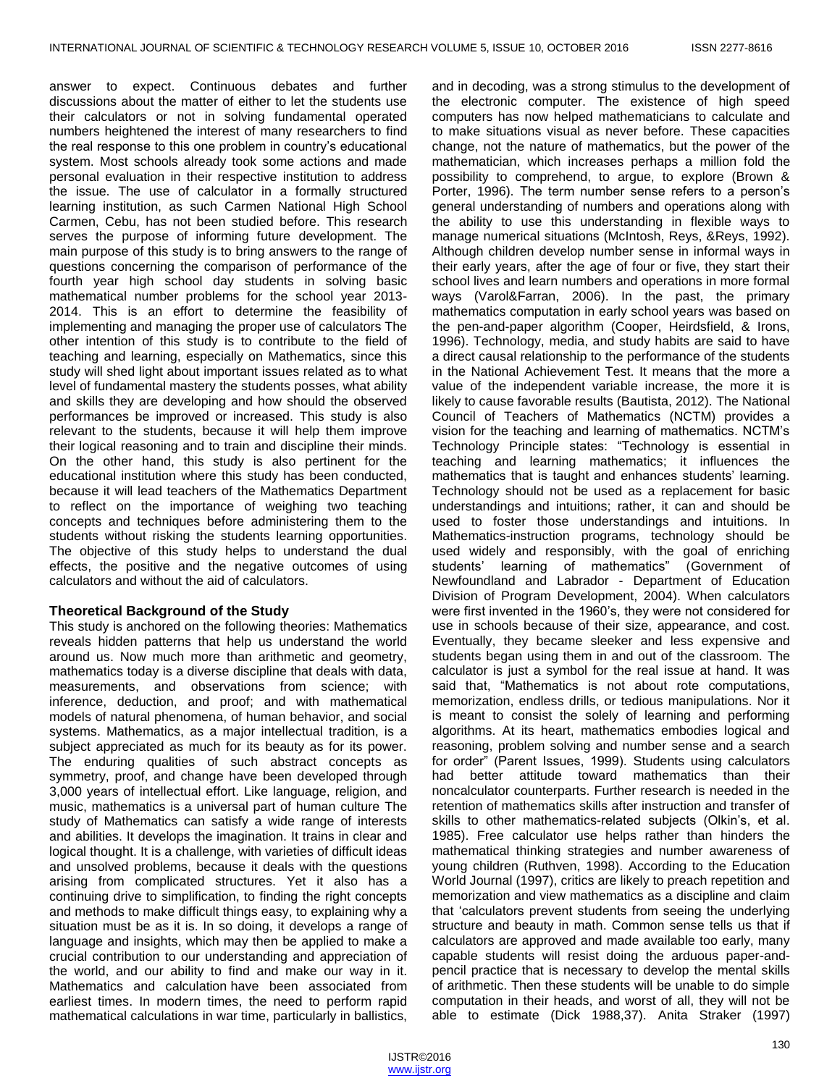answer to expect. Continuous debates and further discussions about the matter of either to let the students use their calculators or not in solving fundamental operated numbers heightened the interest of many researchers to find the real response to this one problem in country's educational system. Most schools already took some actions and made personal evaluation in their respective institution to address the issue. The use of calculator in a formally structured learning institution, as such Carmen National High School Carmen, Cebu, has not been studied before. This research serves the purpose of informing future development. The main purpose of this study is to bring answers to the range of questions concerning the comparison of performance of the fourth year high school day students in solving basic mathematical number problems for the school year 2013- 2014. This is an effort to determine the feasibility of implementing and managing the proper use of calculators The other intention of this study is to contribute to the field of teaching and learning, especially on Mathematics, since this study will shed light about important issues related as to what level of fundamental mastery the students posses, what ability and skills they are developing and how should the observed performances be improved or increased. This study is also relevant to the students, because it will help them improve their logical reasoning and to train and discipline their minds. On the other hand, this study is also pertinent for the educational institution where this study has been conducted, because it will lead teachers of the Mathematics Department to reflect on the importance of weighing two teaching concepts and techniques before administering them to the students without risking the students learning opportunities. The objective of this study helps to understand the dual effects, the positive and the negative outcomes of using calculators and without the aid of calculators.

# **Theoretical Background of the Study**

This study is anchored on the following theories: Mathematics reveals hidden patterns that help us understand the world around us. Now much more than arithmetic and geometry, mathematics today is a diverse discipline that deals with data, measurements, and observations from science; with inference, deduction, and proof; and with mathematical models of natural phenomena, of human behavior, and social systems. Mathematics, as a major intellectual tradition, is a subject appreciated as much for its beauty as for its power. The enduring qualities of such abstract concepts as symmetry, proof, and change have been developed through 3,000 years of intellectual effort. Like language, religion, and music, mathematics is a universal part of human culture The study of Mathematics can satisfy a wide range of interests and abilities. It develops the imagination. It trains in clear and logical thought. It is a challenge, with varieties of difficult ideas and unsolved problems, because it deals with the questions arising from complicated structures. Yet it also has a continuing drive to simplification, to finding the right concepts and methods to make difficult things easy, to explaining why a situation must be as it is. In so doing, it develops a range of language and insights, which may then be applied to make a crucial contribution to our understanding and appreciation of the world, and our ability to find and make our way in it. Mathematics and calculation have been associated from earliest times. In modern times, the need to perform rapid mathematical calculations in war time, particularly in ballistics,

and in decoding, was a strong stimulus to the development of the electronic computer. The existence of high speed computers has now helped mathematicians to calculate and to make situations visual as never before. These capacities change, not the nature of mathematics, but the power of the mathematician, which increases perhaps a million fold the possibility to comprehend, to argue, to explore (Brown & Porter, 1996). The term number sense refers to a person's general understanding of numbers and operations along with the ability to use this understanding in flexible ways to manage numerical situations (McIntosh, Reys, &Reys, 1992). Although children develop number sense in informal ways in their early years, after the age of four or five, they start their school lives and learn numbers and operations in more formal ways (Varol&Farran, 2006). In the past, the primary mathematics computation in early school years was based on the pen-and-paper algorithm (Cooper, Heirdsfield, & Irons, 1996). Technology, media, and study habits are said to have a direct causal relationship to the performance of the students in the National Achievement Test. It means that the more a value of the independent variable increase, the more it is likely to cause favorable results (Bautista, 2012). The National Council of Teachers of Mathematics (NCTM) provides a vision for the teaching and learning of mathematics. NCTM's Technology Principle states: "Technology is essential in teaching and learning mathematics; it influences the mathematics that is taught and enhances students' learning. Technology should not be used as a replacement for basic understandings and intuitions; rather, it can and should be used to foster those understandings and intuitions. In Mathematics-instruction programs, technology should be used widely and responsibly, with the goal of enriching students' learning of mathematics" (Government of Newfoundland and Labrador - Department of Education Division of Program Development, 2004). When calculators were first invented in the 1960's, they were not considered for use in schools because of their size, appearance, and cost. Eventually, they became sleeker and less expensive and students began using them in and out of the classroom. The calculator is just a symbol for the real issue at hand. It was said that, "Mathematics is not about rote computations, memorization, endless drills, or tedious manipulations. Nor it is meant to consist the solely of learning and performing algorithms. At its heart, mathematics embodies logical and reasoning, problem solving and number sense and a search for order" (Parent Issues, 1999). Students using calculators had better attitude toward mathematics than their noncalculator counterparts. Further research is needed in the retention of mathematics skills after instruction and transfer of skills to other mathematics-related subjects (Olkin's, et al. 1985). Free calculator use helps rather than hinders the mathematical thinking strategies and number awareness of young children (Ruthven, 1998). According to the Education World Journal (1997), critics are likely to preach repetition and memorization and view mathematics as a discipline and claim that 'calculators prevent students from seeing the underlying structure and beauty in math. Common sense tells us that if calculators are approved and made available too early, many capable students will resist doing the arduous paper-andpencil practice that is necessary to develop the mental skills of arithmetic. Then these students will be unable to do simple computation in their heads, and worst of all, they will not be able to estimate (Dick 1988,37). Anita Straker (1997)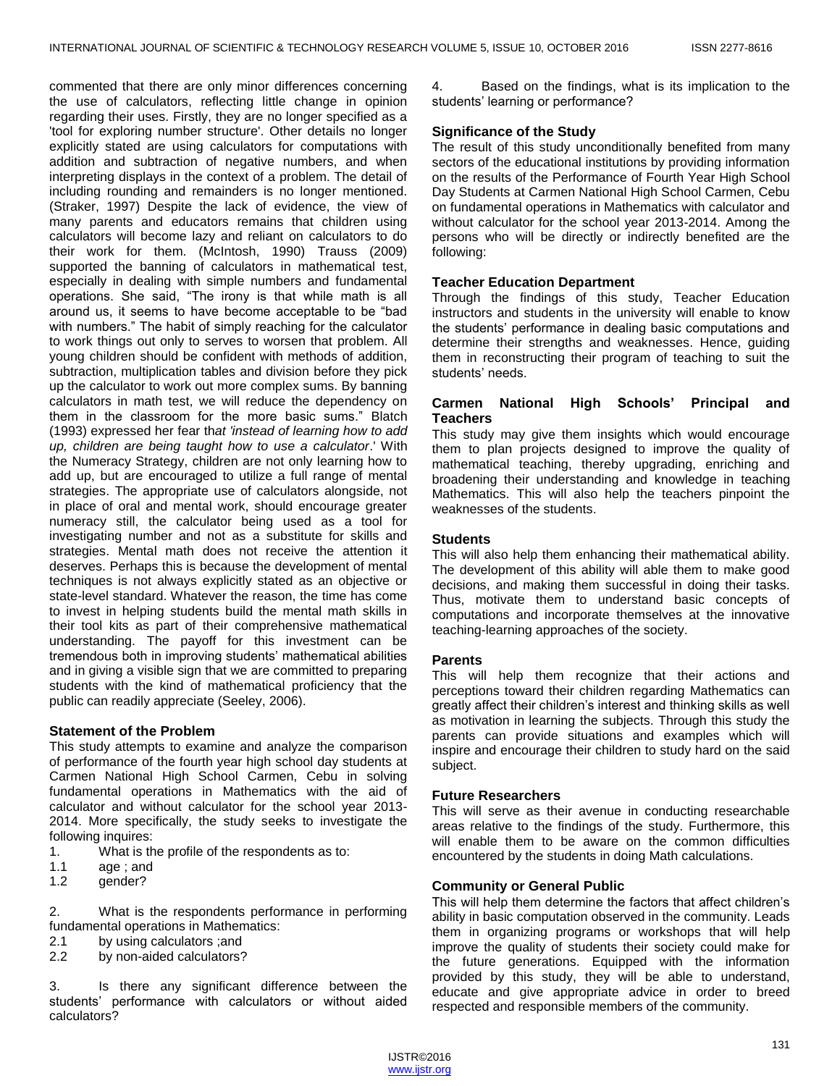commented that there are only minor differences concerning the use of calculators, reflecting little change in opinion regarding their uses. Firstly, they are no longer specified as a 'tool for exploring number structure'. Other details no longer explicitly stated are using calculators for computations with addition and subtraction of negative numbers, and when interpreting displays in the context of a problem. The detail of including rounding and remainders is no longer mentioned. (Straker, 1997) Despite the lack of evidence, the view of many parents and educators remains that children using calculators will become lazy and reliant on calculators to do their work for them. (McIntosh, 1990) Trauss (2009) supported the banning of calculators in mathematical test, especially in dealing with simple numbers and fundamental operations. She said, "The irony is that while math is all around us, it seems to have become acceptable to be "bad with numbers." The habit of simply reaching for the calculator to work things out only to serves to worsen that problem. All young children should be confident with methods of addition, subtraction, multiplication tables and division before they pick up the calculator to work out more complex sums. By banning calculators in math test, we will reduce the dependency on them in the classroom for the more basic sums." Blatch (1993) expressed her fear th*at 'instead of learning how to add up, children are being taught how to use a calculator*.' With the Numeracy Strategy, children are not only learning how to add up, but are encouraged to utilize a full range of mental strategies. The appropriate use of calculators alongside, not in place of oral and mental work, should encourage greater numeracy still, the calculator being used as a tool for investigating number and not as a substitute for skills and strategies. Mental math does not receive the attention it deserves. Perhaps this is because the development of mental techniques is not always explicitly stated as an objective or state-level standard. Whatever the reason, the time has come to invest in helping students build the mental math skills in their tool kits as part of their comprehensive mathematical understanding. The payoff for this investment can be tremendous both in improving students' mathematical abilities and in giving a visible sign that we are committed to preparing students with the kind of mathematical proficiency that the public can readily appreciate (Seeley, 2006).

## **Statement of the Problem**

This study attempts to examine and analyze the comparison of performance of the fourth year high school day students at Carmen National High School Carmen, Cebu in solving fundamental operations in Mathematics with the aid of calculator and without calculator for the school year 2013- 2014. More specifically, the study seeks to investigate the following inquires:

- 1. What is the profile of the respondents as to:
- 1.1 age ; and
- 1.2 gender?

2. What is the respondents performance in performing fundamental operations in Mathematics:

- 2.1 by using calculators ;and
- 2.2 by non-aided calculators?

3. Is there any significant difference between the students' performance with calculators or without aided calculators?

4. Based on the findings, what is its implication to the students' learning or performance?

## **Significance of the Study**

The result of this study unconditionally benefited from many sectors of the educational institutions by providing information on the results of the Performance of Fourth Year High School Day Students at Carmen National High School Carmen, Cebu on fundamental operations in Mathematics with calculator and without calculator for the school year 2013-2014. Among the persons who will be directly or indirectly benefited are the following:

## **Teacher Education Department**

Through the findings of this study, Teacher Education instructors and students in the university will enable to know the students' performance in dealing basic computations and determine their strengths and weaknesses. Hence, guiding them in reconstructing their program of teaching to suit the students' needs.

## **Carmen National High Schools' Principal and Teachers**

This study may give them insights which would encourage them to plan projects designed to improve the quality of mathematical teaching, thereby upgrading, enriching and broadening their understanding and knowledge in teaching Mathematics. This will also help the teachers pinpoint the weaknesses of the students.

## **Students**

This will also help them enhancing their mathematical ability. The development of this ability will able them to make good decisions, and making them successful in doing their tasks. Thus, motivate them to understand basic concepts of computations and incorporate themselves at the innovative teaching-learning approaches of the society.

## **Parents**

This will help them recognize that their actions and perceptions toward their children regarding Mathematics can greatly affect their children's interest and thinking skills as well as motivation in learning the subjects. Through this study the parents can provide situations and examples which will inspire and encourage their children to study hard on the said subject.

## **Future Researchers**

This will serve as their avenue in conducting researchable areas relative to the findings of the study. Furthermore, this will enable them to be aware on the common difficulties encountered by the students in doing Math calculations.

## **Community or General Public**

This will help them determine the factors that affect children's ability in basic computation observed in the community. Leads them in organizing programs or workshops that will help improve the quality of students their society could make for the future generations. Equipped with the information provided by this study, they will be able to understand, educate and give appropriate advice in order to breed respected and responsible members of the community.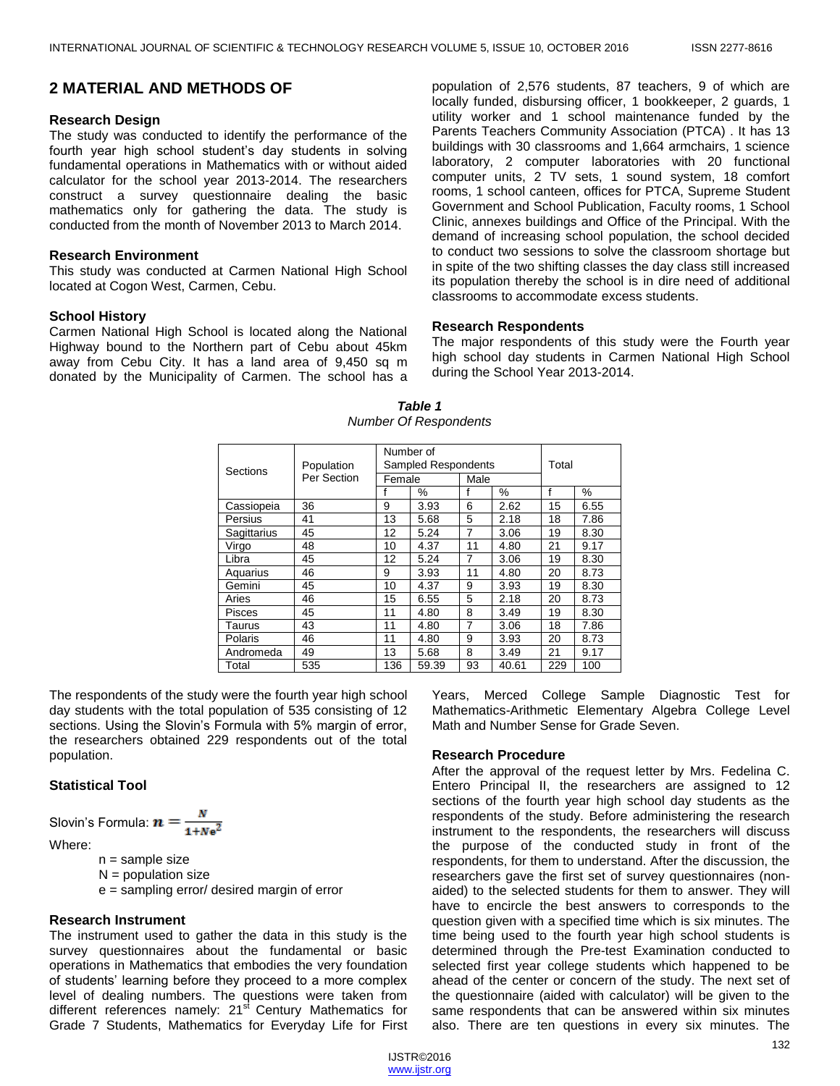## **2 MATERIAL AND METHODS OF**

#### **Research Design**

The study was conducted to identify the performance of the fourth year high school student's day students in solving fundamental operations in Mathematics with or without aided calculator for the school year 2013-2014. The researchers construct a survey questionnaire dealing the basic mathematics only for gathering the data. The study is conducted from the month of November 2013 to March 2014.

## **Research Environment**

This study was conducted at Carmen National High School located at Cogon West, Carmen, Cebu.

#### **School History**

Carmen National High School is located along the National Highway bound to the Northern part of Cebu about 45km away from Cebu City. It has a land area of 9,450 sq m donated by the Municipality of Carmen. The school has a

population of 2,576 students, 87 teachers, 9 of which are locally funded, disbursing officer, 1 bookkeeper, 2 guards, 1 utility worker and 1 school maintenance funded by the Parents Teachers Community Association (PTCA) . It has 13 buildings with 30 classrooms and 1,664 armchairs, 1 science laboratory, 2 computer laboratories with 20 functional computer units, 2 TV sets, 1 sound system, 18 comfort rooms, 1 school canteen, offices for PTCA, Supreme Student Government and School Publication, Faculty rooms, 1 School Clinic, annexes buildings and Office of the Principal. With the demand of increasing school population, the school decided to conduct two sessions to solve the classroom shortage but in spite of the two shifting classes the day class still increased its population thereby the school is in dire need of additional classrooms to accommodate excess students.

#### **Research Respondents**

The major respondents of this study were the Fourth year high school day students in Carmen National High School during the School Year 2013-2014.

| Sections      | Population<br>Per Section | Number of<br>Sampled Respondents |       |                |       | Total |      |
|---------------|---------------------------|----------------------------------|-------|----------------|-------|-------|------|
|               |                           | Female                           |       | Male           |       |       |      |
|               |                           | f                                | %     |                | %     | f     | %    |
| Cassiopeia    | 36                        | 9                                | 3.93  | 6              | 2.62  | 15    | 6.55 |
| Persius       | 41                        | 13                               | 5.68  | 5              | 2.18  | 18    | 7.86 |
| Sagittarius   | 45                        | 12                               | 5.24  | $\overline{7}$ | 3.06  | 19    | 8.30 |
| Virgo         | 48                        | 10                               | 4.37  | 11             | 4.80  | 21    | 9.17 |
| Libra         | 45                        | 12                               | 5.24  | 7              | 3.06  | 19    | 8.30 |
| Aquarius      | 46                        | 9                                | 3.93  | 11             | 4.80  | 20    | 8.73 |
| Gemini        | 45                        | 10                               | 4.37  | 9              | 3.93  | 19    | 8.30 |
| Aries         | 46                        | 15                               | 6.55  | 5              | 2.18  | 20    | 8.73 |
| <b>Pisces</b> | 45                        | 11                               | 4.80  | 8              | 3.49  | 19    | 8.30 |
| Taurus        | 43                        | 11                               | 4.80  | 7              | 3.06  | 18    | 7.86 |
| Polaris       | 46                        | 11                               | 4.80  | 9              | 3.93  | 20    | 8.73 |
| Andromeda     | 49                        | 13                               | 5.68  | 8              | 3.49  | 21    | 9.17 |
| Total         | 535                       | 136                              | 59.39 | 93             | 40.61 | 229   | 100  |

## *Table 1 Number Of Respondents*

The respondents of the study were the fourth year high school day students with the total population of 535 consisting of 12 sections. Using the Slovin's Formula with 5% margin of error, the researchers obtained 229 respondents out of the total population.

## **Statistical Tool**

Slovin's Formula:  $n = \frac{N}{1 + Nc^2}$ 

Where:

n = sample size

 $N =$  population size

e = sampling error/ desired margin of error

## **Research Instrument**

The instrument used to gather the data in this study is the survey questionnaires about the fundamental or basic operations in Mathematics that embodies the very foundation of students' learning before they proceed to a more complex level of dealing numbers. The questions were taken from different references namely: 21<sup>st</sup> Century Mathematics for Grade 7 Students, Mathematics for Everyday Life for First

Years, Merced College Sample Diagnostic Test for Mathematics-Arithmetic Elementary Algebra College Level Math and Number Sense for Grade Seven.

#### **Research Procedure**

After the approval of the request letter by Mrs. Fedelina C. Entero Principal II, the researchers are assigned to 12 sections of the fourth year high school day students as the respondents of the study. Before administering the research instrument to the respondents, the researchers will discuss the purpose of the conducted study in front of the respondents, for them to understand. After the discussion, the researchers gave the first set of survey questionnaires (nonaided) to the selected students for them to answer. They will have to encircle the best answers to corresponds to the question given with a specified time which is six minutes. The time being used to the fourth year high school students is determined through the Pre-test Examination conducted to selected first year college students which happened to be ahead of the center or concern of the study. The next set of the questionnaire (aided with calculator) will be given to the same respondents that can be answered within six minutes also. There are ten questions in every six minutes. The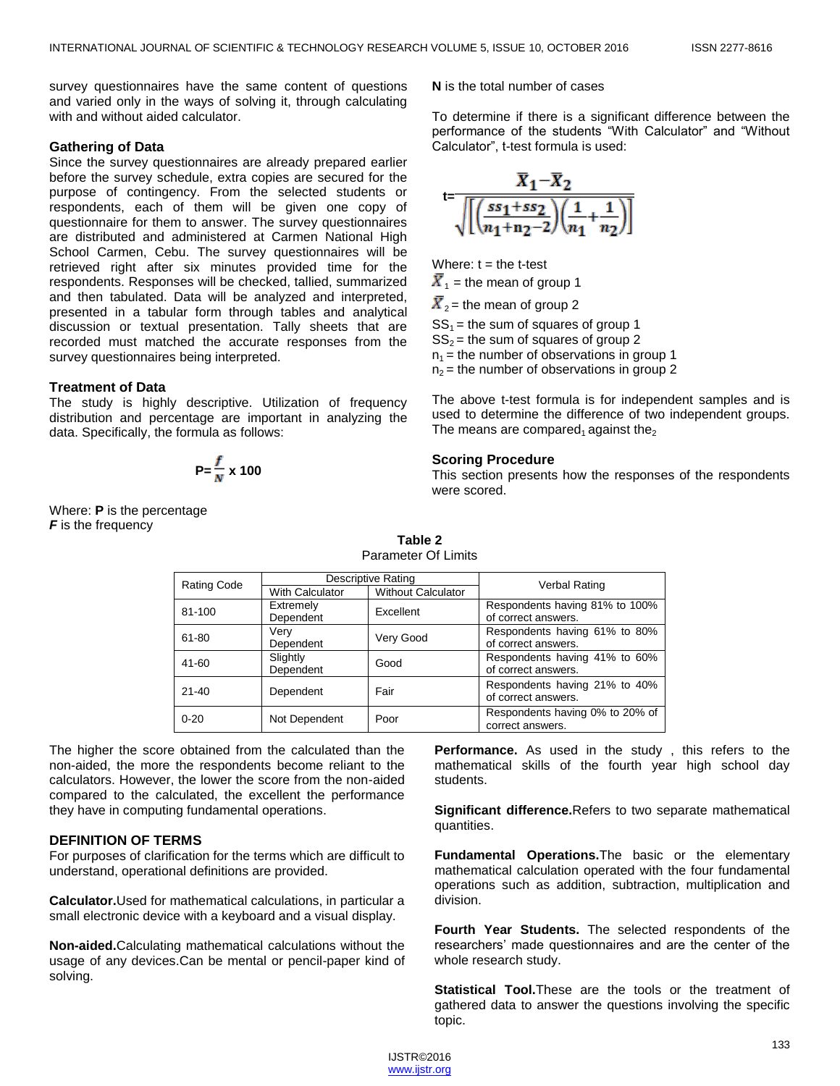survey questionnaires have the same content of questions and varied only in the ways of solving it, through calculating with and without aided calculator.

#### **Gathering of Data**

Since the survey questionnaires are already prepared earlier before the survey schedule, extra copies are secured for the purpose of contingency. From the selected students or respondents, each of them will be given one copy of questionnaire for them to answer. The survey questionnaires are distributed and administered at Carmen National High School Carmen, Cebu. The survey questionnaires will be retrieved right after six minutes provided time for the respondents. Responses will be checked, tallied, summarized and then tabulated. Data will be analyzed and interpreted, presented in a tabular form through tables and analytical discussion or textual presentation. Tally sheets that are recorded must matched the accurate responses from the survey questionnaires being interpreted.

#### **Treatment of Data**

The study is highly descriptive. Utilization of frequency distribution and percentage are important in analyzing the data. Specifically, the formula as follows:

$$
P = \frac{f}{N} \times 100
$$

Where: **P** is the percentage **F** is the frequency

**N** is the total number of cases

To determine if there is a significant difference between the performance of the students "With Calculator" and "Without Calculator", t-test formula is used:

$$
t=\frac{\overline{X}_1-\overline{X}_2}{\sqrt{\left[\left(\frac{ss_1+ss_2}{n_1+n_2-2}\right)\left(\frac{1}{n_1}+\frac{1}{n_2}\right)\right]}}
$$

Where:  $t =$  the t-test

 $\overline{X}_1$  = the mean of group 1  $\overline{X}_2$  = the mean of group 2  $SS_1$  = the sum of squares of group 1  $SS<sub>2</sub>$  = the sum of squares of group 2

 $n_1$  = the number of observations in group 1  $n_2$  = the number of observations in group 2

The above t-test formula is for independent samples and is used to determine the difference of two independent groups. The means are compared<sub>1</sub> against the<sub>2</sub>

## **Scoring Procedure**

This section presents how the responses of the respondents were scored.

| <b>Rating Code</b> |                 | Descriptive Rating        | Verbal Rating                                        |  |
|--------------------|-----------------|---------------------------|------------------------------------------------------|--|
|                    | With Calculator | <b>Without Calculator</b> |                                                      |  |
| 81-100             | Extremely       | Excellent                 | Respondents having 81% to 100%                       |  |
|                    | Dependent       |                           | of correct answers.                                  |  |
| 61-80              | Very            | Very Good                 | Respondents having 61% to 80%                        |  |
|                    | Dependent       |                           | of correct answers.                                  |  |
| 41-60              | Slightly        | Good                      | Respondents having 41% to 60%                        |  |
|                    | Dependent       |                           | of correct answers.                                  |  |
| $21 - 40$          | Dependent       | Fair                      | Respondents having 21% to 40%<br>of correct answers. |  |
| $0 - 20$           | Not Dependent   | Poor                      | Respondents having 0% to 20% of<br>correct answers.  |  |

**Table 2** Parameter Of Limits

The higher the score obtained from the calculated than the non-aided, the more the respondents become reliant to the calculators. However, the lower the score from the non-aided compared to the calculated, the excellent the performance they have in computing fundamental operations.

# **DEFINITION OF TERMS**

For purposes of clarification for the terms which are difficult to understand, operational definitions are provided.

**Calculator.**Used for mathematical calculations, in particular a small electronic device with a keyboard and a visual display.

**Non-aided.**Calculating mathematical calculations without the usage of any devices.Can be mental or pencil-paper kind of solving.

**Performance.** As used in the study , this refers to the mathematical skills of the fourth year high school day students.

**Significant difference.**Refers to two separate mathematical quantities.

**Fundamental Operations.**The basic or the elementary mathematical calculation operated with the four fundamental operations such as addition, subtraction, multiplication and division.

**Fourth Year Students.** The selected respondents of the researchers' made questionnaires and are the center of the whole research study.

**Statistical Tool.**These are the tools or the treatment of gathered data to answer the questions involving the specific topic.

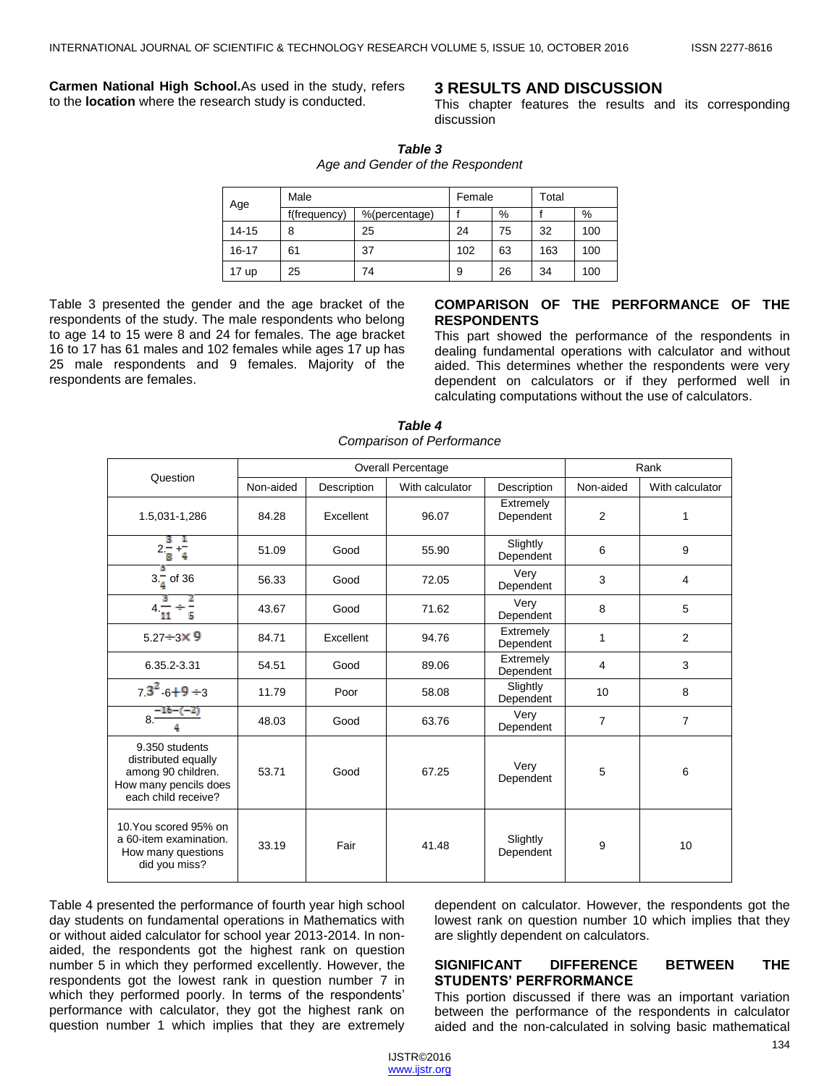**Carmen National High School.**As used in the study, refers to the **location** where the research study is conducted.

# **3 RESULTS AND DISCUSSION**

This chapter features the results and its corresponding discussion

| <b>Table 3</b>                   |  |
|----------------------------------|--|
| Age and Gender of the Respondent |  |

| Age              | Male         | Female        |     | Total |     |     |
|------------------|--------------|---------------|-----|-------|-----|-----|
|                  | f(frequency) | %(percentage) |     | %     |     | %   |
| $14 - 15$        | 8            | 25            | 24  | 75    | 32  | 100 |
| $16 - 17$        | 61           | 37            | 102 | 63    | 163 | 100 |
| 17 <sub>up</sub> | 25           | 74            | 9   | 26    | 34  | 100 |

Table 3 presented the gender and the age bracket of the respondents of the study. The male respondents who belong to age 14 to 15 were 8 and 24 for females. The age bracket 16 to 17 has 61 males and 102 females while ages 17 up has 25 male respondents and 9 females. Majority of the respondents are females.

# **COMPARISON OF THE PERFORMANCE OF THE RESPONDENTS**

This part showed the performance of the respondents in dealing fundamental operations with calculator and without aided. This determines whether the respondents were very dependent on calculators or if they performed well in calculating computations without the use of calculators.

| Question                                                                                                    | Overall Percentage |             |                 |                        | Rank           |                 |  |
|-------------------------------------------------------------------------------------------------------------|--------------------|-------------|-----------------|------------------------|----------------|-----------------|--|
|                                                                                                             | Non-aided          | Description | With calculator | Description            | Non-aided      | With calculator |  |
| 1.5,031-1,286                                                                                               | 84.28              | Excellent   | 96.07           | Extremely<br>Dependent | $\overline{2}$ | 1               |  |
| $2\frac{2}{8} + \frac{1}{4}$                                                                                | 51.09              | Good        | 55.90           | Slightly<br>Dependent  | 6              | 9               |  |
| $3.\frac{3}{4}$ of 36                                                                                       | 56.33              | Good        | 72.05           | Verv<br>Dependent      | 3              | 4               |  |
| $4\frac{1}{11}$                                                                                             | 43.67              | Good        | 71.62           | Very<br>Dependent      | 8              | 5               |  |
| $5.27 \div 3 \times 9$                                                                                      | 84.71              | Excellent   | 94.76           | Extremely<br>Dependent | 1              | $\overline{2}$  |  |
| 6.35.2-3.31                                                                                                 | 54.51              | Good        | 89.06           | Extremely<br>Dependent | 4              | 3               |  |
| $73^2$ 6+9 ÷3                                                                                               | 11.79              | Poor        | 58.08           | Slightly<br>Dependent  | 10             | 8               |  |
| $8\frac{-16-(-2)}{2}$                                                                                       | 48.03              | Good        | 63.76           | Very<br>Dependent      | $\overline{7}$ | $\overline{7}$  |  |
| 9.350 students<br>distributed equally<br>among 90 children.<br>How many pencils does<br>each child receive? | 53.71              | Good        | 67.25           | Very<br>Dependent      | 5              | 6               |  |
| 10.You scored 95% on<br>a 60-item examination.<br>How many questions<br>did you miss?                       | 33.19              | Fair        | 41.48           | Slightly<br>Dependent  | 9              | 10              |  |

*Table 4 Comparison of Performance*

Table 4 presented the performance of fourth year high school day students on fundamental operations in Mathematics with or without aided calculator for school year 2013-2014. In nonaided, the respondents got the highest rank on question number 5 in which they performed excellently. However, the respondents got the lowest rank in question number 7 in which they performed poorly. In terms of the respondents' performance with calculator, they got the highest rank on question number 1 which implies that they are extremely dependent on calculator. However, the respondents got the lowest rank on question number 10 which implies that they are slightly dependent on calculators.

# **SIGNIFICANT DIFFERENCE BETWEEN THE STUDENTS' PERFRORMANCE**

This portion discussed if there was an important variation between the performance of the respondents in calculator aided and the non-calculated in solving basic mathematical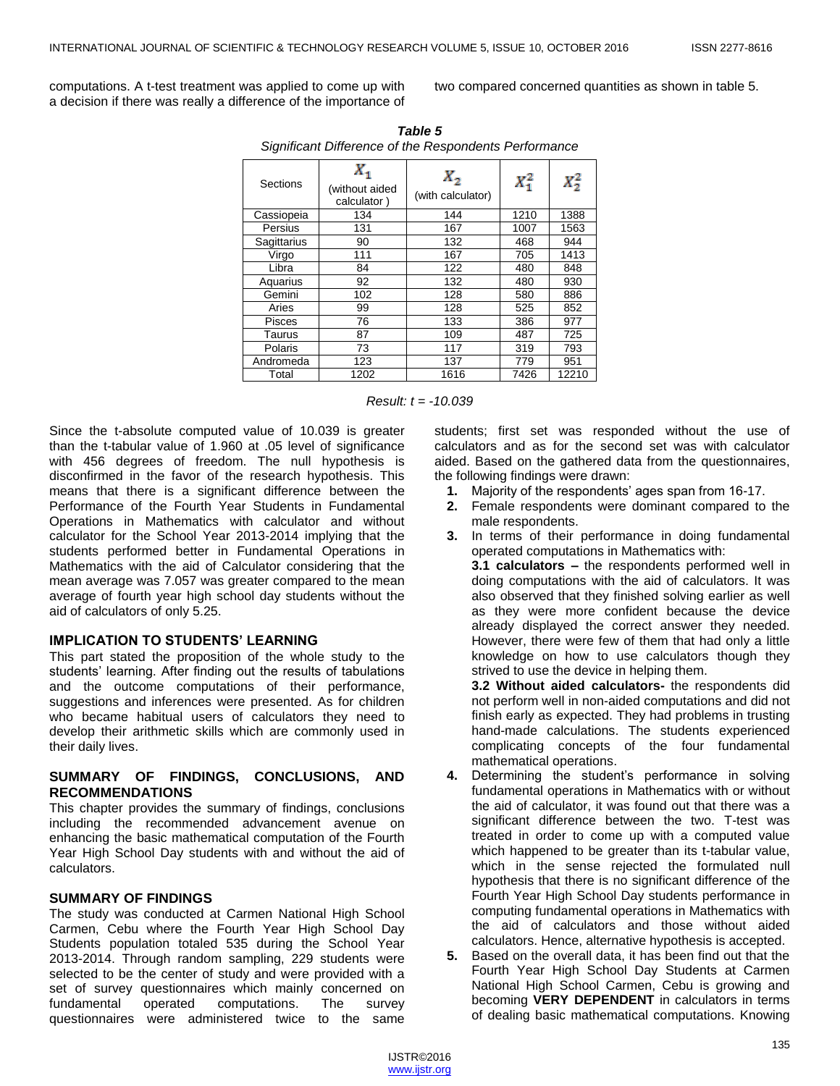computations. A t-test treatment was applied to come up with a decision if there was really a difference of the importance of two compared concerned quantities as shown in table 5.

| Significant Difference of the Respondents Performance |                                     |                              |         |         |  |  |
|-------------------------------------------------------|-------------------------------------|------------------------------|---------|---------|--|--|
| Sections                                              | х,<br>(without aided<br>calculator) | $X_{2}$<br>(with calculator) | $X_1^2$ | $X_2^2$ |  |  |
| Cassiopeia                                            | 134                                 | 144                          | 1210    | 1388    |  |  |
| Persius                                               | 131                                 | 167                          | 1007    | 1563    |  |  |
| Sagittarius                                           | 90                                  | 132                          | 468     | 944     |  |  |
| Virgo                                                 | 111                                 | 167                          | 705     | 1413    |  |  |
| Libra                                                 | 84                                  | 122                          | 480     | 848     |  |  |
| Aquarius                                              | 92                                  | 132                          | 480     | 930     |  |  |
| Gemini                                                | 102                                 | 128                          | 580     | 886     |  |  |
| Aries                                                 | 99                                  | 128                          | 525     | 852     |  |  |
| <b>Pisces</b>                                         | 76                                  | 133                          | 386     | 977     |  |  |
| Taurus                                                | 87                                  | 109                          | 487     | 725     |  |  |
| <b>Polaris</b>                                        | 73                                  | 117                          | 319     | 793     |  |  |
| Andromeda                                             | 123                                 | 137                          | 779     | 951     |  |  |
| Total                                                 | 1202                                | 1616                         | 7426    | 12210   |  |  |

*Table 5 Significant Difference of the Respondents Performance*

*Result: t = -10.039*

Since the t-absolute computed value of 10.039 is greater than the t-tabular value of 1.960 at .05 level of significance with 456 degrees of freedom. The null hypothesis is disconfirmed in the favor of the research hypothesis. This means that there is a significant difference between the Performance of the Fourth Year Students in Fundamental Operations in Mathematics with calculator and without calculator for the School Year 2013-2014 implying that the students performed better in Fundamental Operations in Mathematics with the aid of Calculator considering that the mean average was 7.057 was greater compared to the mean average of fourth year high school day students without the aid of calculators of only 5.25.

# **IMPLICATION TO STUDENTS' LEARNING**

This part stated the proposition of the whole study to the students' learning. After finding out the results of tabulations and the outcome computations of their performance, suggestions and inferences were presented. As for children who became habitual users of calculators they need to develop their arithmetic skills which are commonly used in their daily lives.

# **SUMMARY OF FINDINGS, CONCLUSIONS, AND RECOMMENDATIONS**

This chapter provides the summary of findings, conclusions including the recommended advancement avenue on enhancing the basic mathematical computation of the Fourth Year High School Day students with and without the aid of calculators.

# **SUMMARY OF FINDINGS**

The study was conducted at Carmen National High School Carmen, Cebu where the Fourth Year High School Day Students population totaled 535 during the School Year 2013-2014. Through random sampling, 229 students were selected to be the center of study and were provided with a set of survey questionnaires which mainly concerned on fundamental operated computations. The survey questionnaires were administered twice to the same

students; first set was responded without the use of calculators and as for the second set was with calculator aided. Based on the gathered data from the questionnaires, the following findings were drawn:

- **1.** Majority of the respondents' ages span from 16-17.
- **2.** Female respondents were dominant compared to the male respondents.
- **3.** In terms of their performance in doing fundamental operated computations in Mathematics with:

**3.1 calculators –** the respondents performed well in doing computations with the aid of calculators. It was also observed that they finished solving earlier as well as they were more confident because the device already displayed the correct answer they needed. However, there were few of them that had only a little knowledge on how to use calculators though they strived to use the device in helping them.

**3.2 Without aided calculators-** the respondents did not perform well in non-aided computations and did not finish early as expected. They had problems in trusting hand-made calculations. The students experienced complicating concepts of the four fundamental mathematical operations.

- **4.** Determining the student's performance in solving fundamental operations in Mathematics with or without the aid of calculator, it was found out that there was a significant difference between the two. T-test was treated in order to come up with a computed value which happened to be greater than its t-tabular value, which in the sense rejected the formulated null hypothesis that there is no significant difference of the Fourth Year High School Day students performance in computing fundamental operations in Mathematics with the aid of calculators and those without aided calculators. Hence, alternative hypothesis is accepted.
- **5.** Based on the overall data, it has been find out that the Fourth Year High School Day Students at Carmen National High School Carmen, Cebu is growing and becoming **VERY DEPENDENT** in calculators in terms of dealing basic mathematical computations. Knowing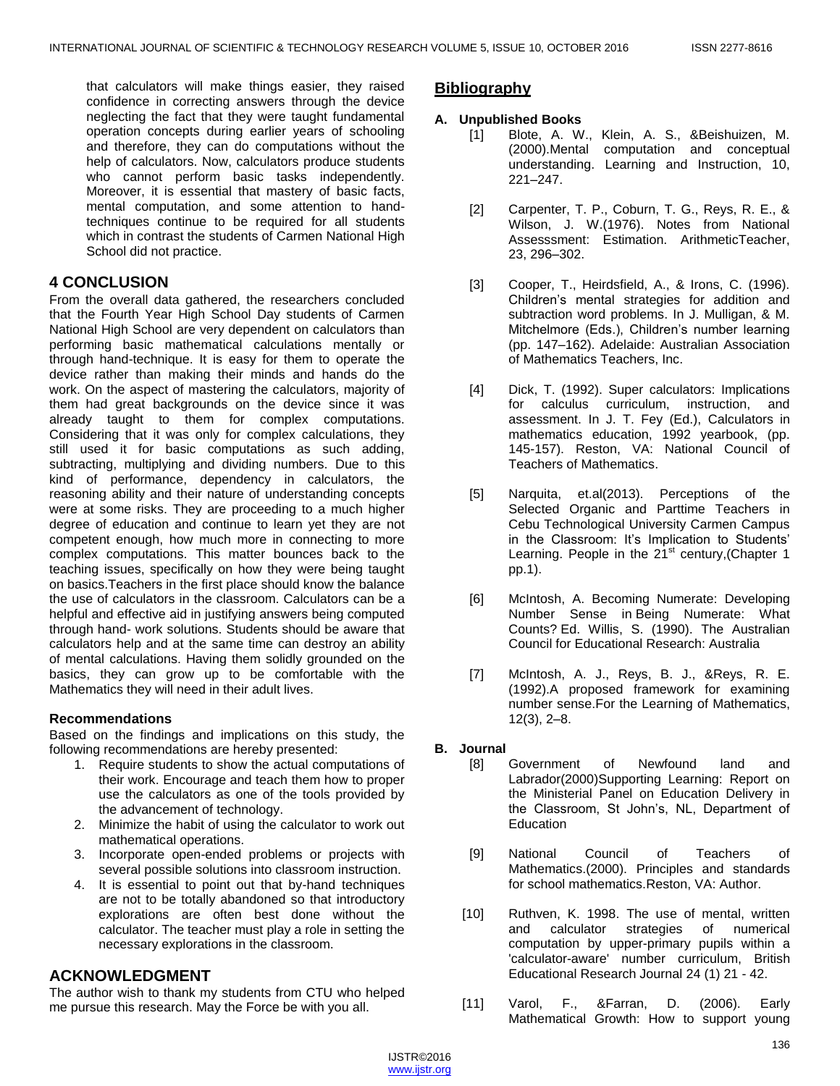that calculators will make things easier, they raised confidence in correcting answers through the device neglecting the fact that they were taught fundamental operation concepts during earlier years of schooling and therefore, they can do computations without the help of calculators. Now, calculators produce students who cannot perform basic tasks independently. Moreover, it is essential that mastery of basic facts, mental computation, and some attention to handtechniques continue to be required for all students which in contrast the students of Carmen National High School did not practice.

# **4 CONCLUSION**

From the overall data gathered, the researchers concluded that the Fourth Year High School Day students of Carmen National High School are very dependent on calculators than performing basic mathematical calculations mentally or through hand-technique. It is easy for them to operate the device rather than making their minds and hands do the work. On the aspect of mastering the calculators, majority of them had great backgrounds on the device since it was already taught to them for complex computations. Considering that it was only for complex calculations, they still used it for basic computations as such adding, subtracting, multiplying and dividing numbers. Due to this kind of performance, dependency in calculators, the reasoning ability and their nature of understanding concepts were at some risks. They are proceeding to a much higher degree of education and continue to learn yet they are not competent enough, how much more in connecting to more complex computations. This matter bounces back to the teaching issues, specifically on how they were being taught on basics.Teachers in the first place should know the balance the use of calculators in the classroom. Calculators can be a helpful and effective aid in justifying answers being computed through hand- work solutions. Students should be aware that calculators help and at the same time can destroy an ability of mental calculations. Having them solidly grounded on the basics, they can grow up to be comfortable with the Mathematics they will need in their adult lives.

# **Recommendations**

Based on the findings and implications on this study, the following recommendations are hereby presented:

- 1. Require students to show the actual computations of their work. Encourage and teach them how to proper use the calculators as one of the tools provided by the advancement of technology.
- 2. Minimize the habit of using the calculator to work out mathematical operations.
- 3. Incorporate open-ended problems or projects with several possible solutions into classroom instruction.
- 4. It is essential to point out that by-hand techniques are not to be totally abandoned so that introductory explorations are often best done without the calculator. The teacher must play a role in setting the necessary explorations in the classroom.

# **ACKNOWLEDGMENT**

The author wish to thank my students from CTU who helped me pursue this research. May the Force be with you all.

# **Bibliography**

- **A. Unpublished Books**
	- [1] Blote, A. W., Klein, A. S., &Beishuizen, M. (2000).Mental computation and conceptual understanding. Learning and Instruction, 10, 221–247.
	- [2] Carpenter, T. P., Coburn, T. G., Reys, R. E., & Wilson, J. W.(1976). Notes from National Assesssment: Estimation. ArithmeticTeacher, 23, 296–302.
	- [3] Cooper, T., Heirdsfield, A., & Irons, C. (1996). Children's mental strategies for addition and subtraction word problems. In J. Mulligan, & M. Mitchelmore (Eds.), Children's number learning (pp. 147–162). Adelaide: Australian Association of Mathematics Teachers, Inc.
	- [4] Dick, T. (1992). Super calculators: Implications for calculus curriculum, instruction, and assessment. In J. T. Fey (Ed.), Calculators in mathematics education, 1992 yearbook, (pp. 145-157). Reston, VA: National Council of Teachers of Mathematics.
	- [5] Narquita, et.al(2013). Perceptions of the Selected Organic and Parttime Teachers in Cebu Technological University Carmen Campus in the Classroom: It's Implication to Students' Learning. People in the  $21<sup>st</sup>$  century, (Chapter 1 pp.1).
	- [6] McIntosh, A. Becoming Numerate: Developing Number Sense in Being Numerate: What Counts? Ed. Willis, S. (1990). The Australian Council for Educational Research: Australia
	- [7] McIntosh, A. J., Reys, B. J., &Reys, R. E. (1992).A proposed framework for examining number sense.For the Learning of Mathematics, 12(3), 2–8.

# **B. Journal**

- [8] Government of Newfound land and Labrador(2000)Supporting Learning: Report on the Ministerial Panel on Education Delivery in the Classroom, St John's, NL, Department of **Education**
- [9] National Council of Teachers of Mathematics.(2000). Principles and standards for school mathematics.Reston, VA: Author.
- [10] Ruthven, K. 1998. The use of mental, written and calculator strategies of numerical computation by upper-primary pupils within a 'calculator-aware' number curriculum, British Educational Research Journal 24 (1) 21 - 42.
- [11] Varol, F., &Farran, D. (2006). Early Mathematical Growth: How to support young